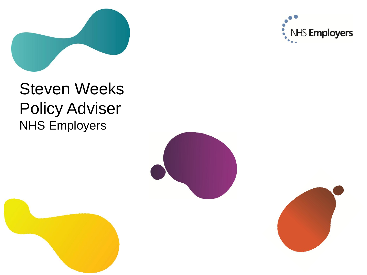

## Steven Weeks Policy Adviser NHS Employers

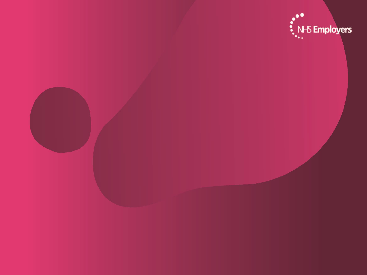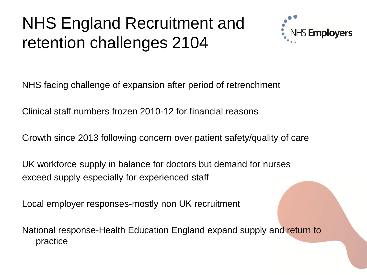## NHS England Recruitment and retention challenges 2104



NHS facing challenge of expansion after period of retrenchment

Clinical staff numbers frozen 2010-12 for financial reasons

Growth since 2013 following concern over patient safety/quality of care

UK workforce supply in balance for doctors but demand for nurses exceed supply especially for experienced staff

Local employer responses-mostly non UK recruitment

National response-Health Education England expand supply and return to practice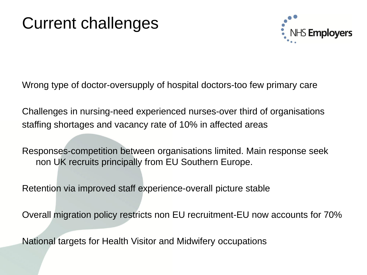## Current challenges



Wrong type of doctor-oversupply of hospital doctors-too few primary care

Challenges in nursing-need experienced nurses-over third of organisations staffing shortages and vacancy rate of 10% in affected areas

Responses-competition between organisations limited. Main response seek non UK recruits principally from EU Southern Europe.

Retention via improved staff experience-overall picture stable

Overall migration policy restricts non EU recruitment-EU now accounts for 70%

National targets for Health Visitor and Midwifery occupations